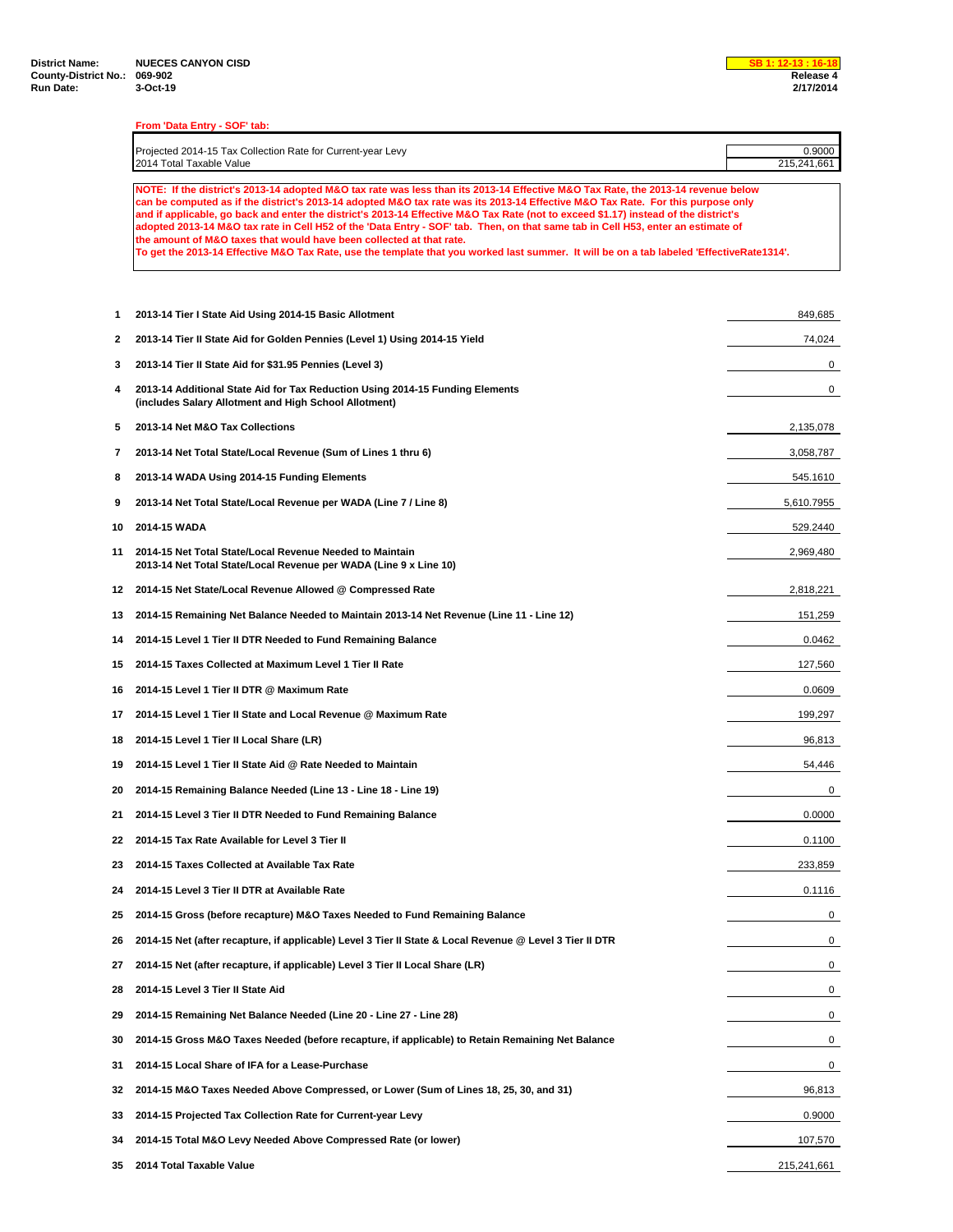## **From 'Data Entry - SOF' tab:**

| Projected 2014-15 Tax Collection Rate for Current-year Levy | ገ.9000      |
|-------------------------------------------------------------|-------------|
| 2014 Total Taxable Value                                    | 215.241.661 |
|                                                             |             |

**NOTE: If the district's 2013-14 adopted M&O tax rate was less than its 2013-14 Effective M&O Tax Rate, the 2013-14 revenue below can be computed as if the district's 2013-14 adopted M&O tax rate was its 2013-14 Effective M&O Tax Rate. For this purpose only and if applicable, go back and enter the district's 2013-14 Effective M&O Tax Rate (not to exceed \$1.17) instead of the district's adopted 2013-14 M&O tax rate in Cell H52 of the 'Data Entry - SOF' tab. Then, on that same tab in Cell H53, enter an estimate of the amount of M&O taxes that would have been collected at that rate.**

**To get the 2013-14 Effective M&O Tax Rate, use the template that you worked last summer. It will be on a tab labeled 'EffectiveRate1314'.**

| 1  | 2013-14 Tier I State Aid Using 2014-15 Basic Allotment                                                                                 | 849,685     |
|----|----------------------------------------------------------------------------------------------------------------------------------------|-------------|
| 2  | 2013-14 Tier II State Aid for Golden Pennies (Level 1) Using 2014-15 Yield                                                             | 74,024      |
| 3  | 2013-14 Tier II State Aid for \$31.95 Pennies (Level 3)                                                                                | 0           |
| 4  | 2013-14 Additional State Aid for Tax Reduction Using 2014-15 Funding Elements<br>(includes Salary Allotment and High School Allotment) | 0           |
| 5  | 2013-14 Net M&O Tax Collections                                                                                                        | 2,135,078   |
| 7  | 2013-14 Net Total State/Local Revenue (Sum of Lines 1 thru 6)                                                                          | 3,058,787   |
| 8  | 2013-14 WADA Using 2014-15 Funding Elements                                                                                            | 545.1610    |
| 9  | 2013-14 Net Total State/Local Revenue per WADA (Line 7 / Line 8)                                                                       | 5,610.7955  |
| 10 | 2014-15 WADA                                                                                                                           | 529.2440    |
| 11 | 2014-15 Net Total State/Local Revenue Needed to Maintain<br>2013-14 Net Total State/Local Revenue per WADA (Line 9 x Line 10)          | 2,969,480   |
| 12 | 2014-15 Net State/Local Revenue Allowed @ Compressed Rate                                                                              | 2,818,221   |
| 13 | 2014-15 Remaining Net Balance Needed to Maintain 2013-14 Net Revenue (Line 11 - Line 12)                                               | 151,259     |
| 14 | 2014-15 Level 1 Tier II DTR Needed to Fund Remaining Balance                                                                           | 0.0462      |
| 15 | 2014-15 Taxes Collected at Maximum Level 1 Tier II Rate                                                                                | 127,560     |
| 16 | 2014-15 Level 1 Tier II DTR @ Maximum Rate                                                                                             | 0.0609      |
| 17 | 2014-15 Level 1 Tier II State and Local Revenue @ Maximum Rate                                                                         | 199,297     |
| 18 | 2014-15 Level 1 Tier II Local Share (LR)                                                                                               | 96,813      |
| 19 | 2014-15 Level 1 Tier II State Aid @ Rate Needed to Maintain                                                                            | 54,446      |
| 20 | 2014-15 Remaining Balance Needed (Line 13 - Line 18 - Line 19)                                                                         | 0           |
| 21 | 2014-15 Level 3 Tier II DTR Needed to Fund Remaining Balance                                                                           | 0.0000      |
| 22 | 2014-15 Tax Rate Available for Level 3 Tier II                                                                                         | 0.1100      |
| 23 | 2014-15 Taxes Collected at Available Tax Rate                                                                                          | 233,859     |
| 24 | 2014-15 Level 3 Tier II DTR at Available Rate                                                                                          | 0.1116      |
| 25 | 2014-15 Gross (before recapture) M&O Taxes Needed to Fund Remaining Balance                                                            | 0           |
| 26 | 2014-15 Net (after recapture, if applicable) Level 3 Tier II State & Local Revenue @ Level 3 Tier II DTR                               | 0           |
| 27 | 2014-15 Net (after recapture, if applicable) Level 3 Tier II Local Share (LR)                                                          | 0           |
| 28 | 2014-15 Level 3 Tier II State Aid                                                                                                      | 0           |
| 29 | 2014-15 Remaining Net Balance Needed (Line 20 - Line 27 - Line 28)                                                                     | 0           |
| 30 | 2014-15 Gross M&O Taxes Needed (before recapture, if applicable) to Retain Remaining Net Balance                                       | 0           |
| 31 | 2014-15 Local Share of IFA for a Lease-Purchase                                                                                        | 0           |
| 32 | 2014-15 M&O Taxes Needed Above Compressed, or Lower (Sum of Lines 18, 25, 30, and 31)                                                  | 96,813      |
| 33 | 2014-15 Projected Tax Collection Rate for Current-year Levy                                                                            | 0.9000      |
| 34 | 2014-15 Total M&O Levy Needed Above Compressed Rate (or lower)                                                                         | 107,570     |
| 35 | 2014 Total Taxable Value                                                                                                               | 215,241,661 |